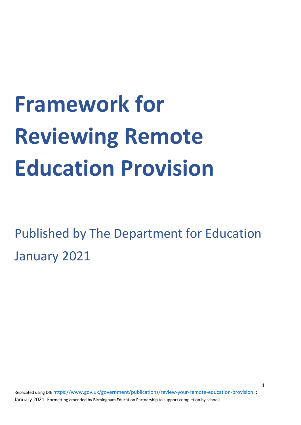# **Framework for Reviewing Remote Education Provision**

Published by The Department for Education January 2021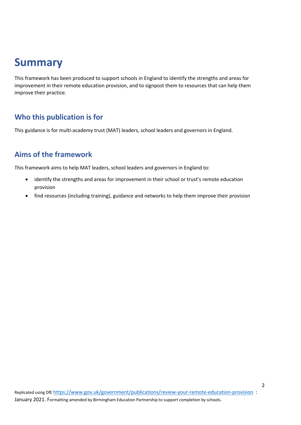# **Summary**

This framework has been produced to support schools in England to identify the strengths and areas for improvement in their remote education provision, and to signpost them to resources that can help them improve their practice.

#### **Who this publication is for**

This guidance is for multi-academy trust (MAT) leaders, school leaders and governors in England.

#### **Aims of the framework**

This framework aims to help MAT leaders, school leaders and governors in England to:

- identify the strengths and areas for improvement in their school or trust's remote education provision
- find resources (including training), guidance and networks to help them improve their provision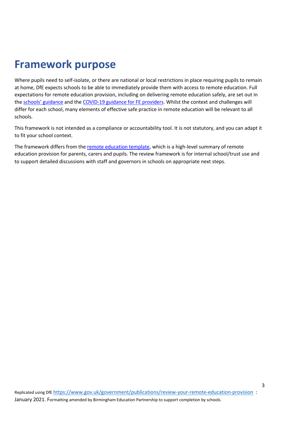# **Framework purpose**

Where pupils need to self-isolate, or there are national or local restrictions in place requiring pupils to remain at home, DfE expects schools to be able to immediately provide them with access to remote education. Full expectations for remote education provision, including on delivering remote education safely, are set out in the schools' guidance and the COVID-19 guidance for FE providers. Whilst the context and challenges will differ for each school, many elements of effective safe practice in remote education will be relevant to all schools.

This framework is not intended as a compliance or accountability tool. It is not statutory, and you can adapt it to fit your school context.

The framework differs from the remote education template, which is a high-level summary of remote education provision for parents, carers and pupils. The review framework is for internal school/trust use and to support detailed discussions with staff and governors in schools on appropriate next steps.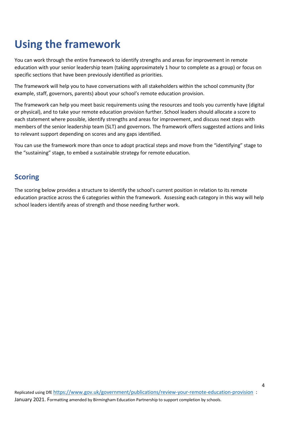# **Using the framework**

You can work through the entire framework to identify strengths and areas for improvement in remote education with your senior leadership team (taking approximately 1 hour to complete as a group) or focus on specific sections that have been previously identified as priorities.

The framework will help you to have conversations with all stakeholders within the school community (for example, staff, governors, parents) about your school's remote education provision.

The framework can help you meet basic requirements using the resources and tools you currently have (digital or physical), and to take your remote education provision further. School leaders should allocate a score to each statement where possible, identify strengths and areas for improvement, and discuss next steps with members of the senior leadership team (SLT) and governors. The framework offers suggested actions and links to relevant support depending on scores and any gaps identified.

You can use the framework more than once to adopt practical steps and move from the "identifying" stage to the "sustaining" stage, to embed a sustainable strategy for remote education.

#### **Scoring**

The scoring below provides a structure to identify the school's current position in relation to its remote education practice across the 6 categories within the framework. Assessing each category in this way will help school leaders identify areas of strength and those needing further work.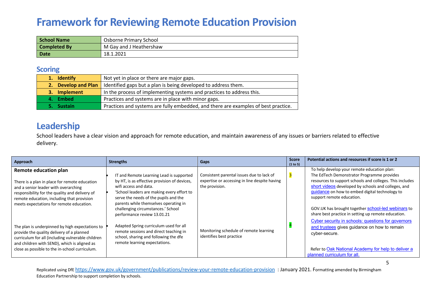# **Framework for Reviewing Remote Education Provision**

| School Name         | Osborne Primary School  |
|---------------------|-------------------------|
| <b>Completed By</b> | M Gay and J Heathershaw |
| Date                | 18.1.2021               |

#### **Scoring**

| 1. Identify         | Not yet in place or there are major gaps.                                          |
|---------------------|------------------------------------------------------------------------------------|
| 2. Develop and Plan | Identified gaps but a plan is being developed to address them.                     |
| 3. Implement        | In the process of implementing systems and practices to address this.              |
| 4. Embed            | Practices and systems are in place with minor gaps.                                |
| 5. Sustain          | Practices and systems are fully embedded, and there are examples of best practice. |

### **Leadership**

School leaders have a clear vision and approach for remote education, and maintain awareness of any issues or barriers related to effective delivery.

| Approach                                                                                                                                                                                                                                                   | <b>Strengths</b>                                                                                                                                                                                                                                                                                                       | Gaps                                                                                                         | <b>Score</b><br>(1 to 5) | Potential actions and resources if score is 1 or 2                                                                                                                                                                                                                                                                                                                                                       |
|------------------------------------------------------------------------------------------------------------------------------------------------------------------------------------------------------------------------------------------------------------|------------------------------------------------------------------------------------------------------------------------------------------------------------------------------------------------------------------------------------------------------------------------------------------------------------------------|--------------------------------------------------------------------------------------------------------------|--------------------------|----------------------------------------------------------------------------------------------------------------------------------------------------------------------------------------------------------------------------------------------------------------------------------------------------------------------------------------------------------------------------------------------------------|
| Remote education plan<br>There is a plan in place for remote education<br>and a senior leader with overarching<br>responsibility for the quality and delivery of<br>remote education, including that provision<br>meets expectations for remote education. | IT and Remote Learning Lead is supported<br>by HT, is as effective provision of devices,<br>wifi access and data.<br>'School leaders are making every effort to<br>serve the needs of the pupils and the<br>parents while themselves operating in<br>challenging circumstances.' School<br>performance review 13.01.21 | Consistent parental issues due to lack of<br>expertise or accessing in line despite having<br>the provision. |                          | To help develop your remote education plan:<br>The EdTech Demonstrator Programme provides<br>resources to support schools and colleges. This includes<br>short videos developed by schools and colleges, and<br>guidance on how to embed digital technology to<br>support remote education.<br>GOV.UK has brought together school-led webinars to<br>share best practice in setting up remote education. |
| The plan is underpinned by high expectations to<br>provide the quality delivery of a planned<br>curriculum for all (including vulnerable children<br>and children with SEND), which is aligned as<br>close as possible to the in-school curriculum.        | Adapted Spring curriculum used for all<br>remote sessions and direct teaching in<br>school, sharing and following the dfe<br>remote learning expectations.                                                                                                                                                             | Monitoring schedule of remote learning<br>identifies best practice                                           |                          | Cyber security in schools: questions for governors<br>and trustees gives guidance on how to remain<br>cyber-secure.<br>Refer to Oak National Academy for help to deliver a<br>planned curriculum for all.                                                                                                                                                                                                |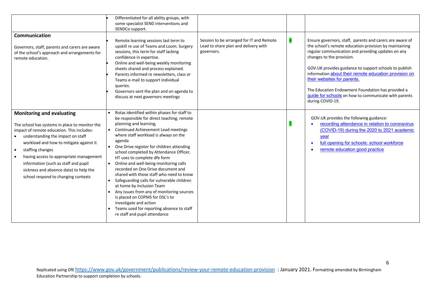|                                                                                                                                                                                                                                                                                                                                                                                                                       | Differentiated for all ability groups, with<br>some specialist SEND interventions and<br>SENDCo support.                                                                                                                                                                                                                                                                                                                                                                                                                                                                                                                                                                                                                                                  |                                                                                                |                                                                                                                                                                                                                                                                                                                                                                                                                                                                                          |
|-----------------------------------------------------------------------------------------------------------------------------------------------------------------------------------------------------------------------------------------------------------------------------------------------------------------------------------------------------------------------------------------------------------------------|-----------------------------------------------------------------------------------------------------------------------------------------------------------------------------------------------------------------------------------------------------------------------------------------------------------------------------------------------------------------------------------------------------------------------------------------------------------------------------------------------------------------------------------------------------------------------------------------------------------------------------------------------------------------------------------------------------------------------------------------------------------|------------------------------------------------------------------------------------------------|------------------------------------------------------------------------------------------------------------------------------------------------------------------------------------------------------------------------------------------------------------------------------------------------------------------------------------------------------------------------------------------------------------------------------------------------------------------------------------------|
| Communication<br>Governors, staff, parents and carers are aware<br>of the school's approach and arrangements for<br>remote education.                                                                                                                                                                                                                                                                                 | Remote learning sessions last term to<br>upskill re use of Teams and Loom. Surgery<br>sessions, this term for staff lacking<br>confidence in expertise.<br>Online and well-being weekly monitoring<br>sheets shared and process explained.<br>Parents informed re newsletters, class or<br>Teams e-mail to support individual<br>queries.<br>Governors sent the plan and on agenda to<br>discuss at next governors meetings                                                                                                                                                                                                                                                                                                                               | Session to be arranged for IT and Remote<br>Lead to share plan and delivery with<br>governors. | Ensure governors, staff, parents and carers are aware of<br>the school's remote education provision by maintaining<br>regular communication and providing updates on any<br>changes to the provision.<br>GOV.UK provides guidance to support schools to publish<br>information about their remote education provision on<br>their websites for parents.<br>The Education Endowment Foundation has provided a<br>guide for schools on how to communicate with parents<br>during COVID-19. |
| <b>Monitoring and evaluating</b><br>The school has systems in place to monitor the<br>impact of remote education. This includes:<br>understanding the impact on staff<br>workload and how to mitigate against it<br>staffing changes<br>$\bullet$<br>having access to appropriate management<br>information (such as staff and pupil<br>sickness and absence data) to help the<br>school respond to changing contexts | Rotas identified within phases for staff to<br>be responsible for direct teaching, remote<br>planning and learning,<br>• Continued Achievement Lead meetings<br>where staff workload is always on the<br>agenda<br>• One Drive register for children attending<br>school completed by Attendance Officer,<br>HT uses to complete dfe form<br>• Online and well-being monitoring calls<br>recorded on One Drive document and<br>shared with those staff who need to know<br>Safeguarding calls for vulnerable children<br>$\bullet$<br>at home by Inclusion Team<br>Any issues from any of monitoring sources<br>is placed on COPMS for DSL's to<br>investigate and action<br>• Teams used for reporting absence to staff<br>re staff and pupil attendance |                                                                                                | GOV.UK provides the following guidance:<br>recording attendance in relation to coronavirus<br>(COVID-19) during the 2020 to 2021 academic<br>year<br>full opening for schools: school workforce<br>remote education good practice                                                                                                                                                                                                                                                        |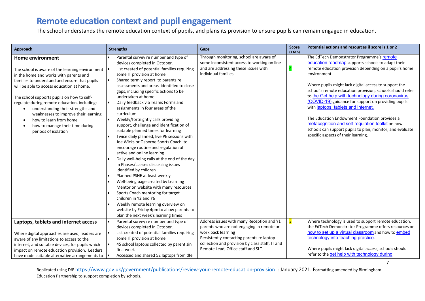## **Remote education context and pupil engagement**

The school understands the remote education context of pupils, and plans its provision to ensure pupils can remain engaged in education.

| <b>Approach</b>                                                                                                                                                                                                                                                                                                                                                                                                                                                                                                                       | <b>Strengths</b>                                                                                                                                                                                                                                                                                                                                                                                                                                                                                                                                                                                                                                                                                                                               | Gaps                                                                                                                                                                                                                                               | <b>Score</b><br>(1 to 5) | Potential actions and resources if score is 1 or 2                                                                                                                                                                                                                                                                                                                                                                                                                                                                                                                                                                                                                   |
|---------------------------------------------------------------------------------------------------------------------------------------------------------------------------------------------------------------------------------------------------------------------------------------------------------------------------------------------------------------------------------------------------------------------------------------------------------------------------------------------------------------------------------------|------------------------------------------------------------------------------------------------------------------------------------------------------------------------------------------------------------------------------------------------------------------------------------------------------------------------------------------------------------------------------------------------------------------------------------------------------------------------------------------------------------------------------------------------------------------------------------------------------------------------------------------------------------------------------------------------------------------------------------------------|----------------------------------------------------------------------------------------------------------------------------------------------------------------------------------------------------------------------------------------------------|--------------------------|----------------------------------------------------------------------------------------------------------------------------------------------------------------------------------------------------------------------------------------------------------------------------------------------------------------------------------------------------------------------------------------------------------------------------------------------------------------------------------------------------------------------------------------------------------------------------------------------------------------------------------------------------------------------|
| <b>Home environment</b><br>The school is aware of the learning environment $  \cdot  $<br>in the home and works with parents and<br>families to understand and ensure that pupils<br>will be able to access education at home.<br>The school supports pupils on how to self-<br>regulate during remote education, including:<br>understanding their strengths and<br>$\bullet$<br>weaknesses to improve their learning<br>how to learn from home<br>$\bullet$<br>how to manage their time during<br>$\bullet$<br>periods of isolation | Parental survey re number and type of<br>devices completed in October.<br>List created of potential families requiring<br>some IT provision at home<br>Shared termly report to parents re<br>assessments and areas identified to close<br>gaps, including specific actions to be<br>undertaken at home<br>Daily feedback via Teams Forms and<br>l.<br>assignments in four areas of the<br>curriculum<br>Weekly/fortnightly calls providing<br>l.<br>support, challenge and identification of<br>suitable planned times for learning<br>Twice daily planned, live PE sessions with<br>Joe Wicks or Osborne Sports Coach to<br>encourage routine and regulation of<br>active and online learning<br>Daily well-being calls at the end of the day | Through monitoring, school are aware of<br>some inconsistent access to working on line<br>and are addressing these issues with<br>individual families                                                                                              | $\overline{a}$           | The EdTech Demonstrator Programme's remote<br>education roadmap supports schools to adapt their<br>remote education provision depending on a pupil's home<br>environment.<br>Where pupils might lack digital access to support the<br>school's remote education provision, schools should refer<br>to the Get help with technology during coronavirus<br>(COVID-19) guidance for support on providing pupils<br>with <i>laptops</i> , tablets and internet.<br>The Education Endowment Foundation provides a<br>metacognition and self-regulation toolkit on how<br>schools can support pupils to plan, monitor, and evaluate<br>specific aspects of their learning. |
|                                                                                                                                                                                                                                                                                                                                                                                                                                                                                                                                       | in Phases/classes discussing issues<br>identified by children<br>Planned PSHE at least weekly<br>Well-being page created by Learning<br>Mentor on website with many resources<br>Sports Coach mentoring for target<br>children in Y2 and Y6<br>Weekly remote learning overview on<br>website by Friday 4pm to allow parents to<br>plan the next week's learning times                                                                                                                                                                                                                                                                                                                                                                          |                                                                                                                                                                                                                                                    |                          |                                                                                                                                                                                                                                                                                                                                                                                                                                                                                                                                                                                                                                                                      |
| Laptops, tablets and internet access<br>Where digital approaches are used, leaders are<br>aware of any limitations to access to the<br>internet, and suitable devices, for pupils which<br>impact on remote education provision. Leaders<br>have made suitable alternative arrangements to                                                                                                                                                                                                                                            | Parental survey re number and type of<br>devices completed in October.<br>List created of potential families requiring<br>some IT provision at home<br>45 school laptops collected by parent sin<br>first week<br>Accessed and shared 52 laptops from dfe                                                                                                                                                                                                                                                                                                                                                                                                                                                                                      | Address issues with many Reception and Y1<br>parents who are not engaging in remote or<br>work pack learning<br>Persistently contacting parents re laptop<br>collection and provision by class staff, IT and<br>Remote Lead, Office staff and SLT. | $\overline{\mathbf{3}}$  | Where technology is used to support remote education,<br>the EdTech Demonstrator Programme offers resources on<br>how to set up a virtual classroom and how to embed<br>technology into teaching practice.<br>Where pupils might lack digital access, schools should<br>refer to the get help with technology during                                                                                                                                                                                                                                                                                                                                                 |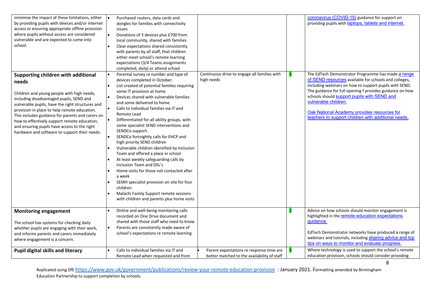| minimise the impact of these limitations, either<br>by providing pupils with devices and/or internet<br>access or ensuring appropriate offline provision<br>where pupils without access are considered<br>vulnerable and are expected to come into<br>school.                                                                                                                                                                                   | Purchased routers, data cards and<br>$\bullet$<br>dongles for families with connectivity<br>issues<br>$\bullet$<br>Donations of 3 devices plus £700 from<br>local community, shared with families<br>Clear expectations shared consistently<br>$\bullet$<br>with parents by all staff, that children<br>either meet school's remote learning<br>expectations (3/4 Teams assignments<br>completed, daily) or attend school                                                                                                                                                                                                                                                                                                                                                                                                                                                                                                                                          |                                                                                         |   | coronavirus (COVID-19) guidance for support on<br>providing pupils with <b>laptops</b> , tablets and internet.                                                                                                                                                                                                                                                                                                 |
|-------------------------------------------------------------------------------------------------------------------------------------------------------------------------------------------------------------------------------------------------------------------------------------------------------------------------------------------------------------------------------------------------------------------------------------------------|--------------------------------------------------------------------------------------------------------------------------------------------------------------------------------------------------------------------------------------------------------------------------------------------------------------------------------------------------------------------------------------------------------------------------------------------------------------------------------------------------------------------------------------------------------------------------------------------------------------------------------------------------------------------------------------------------------------------------------------------------------------------------------------------------------------------------------------------------------------------------------------------------------------------------------------------------------------------|-----------------------------------------------------------------------------------------|---|----------------------------------------------------------------------------------------------------------------------------------------------------------------------------------------------------------------------------------------------------------------------------------------------------------------------------------------------------------------------------------------------------------------|
| Supporting children with additional<br>needs<br>Children and young people with high needs,<br>including disadvantaged pupils, SEND and<br>vulnerable pupils, have the right structures and<br>provision in place to help remote education.<br>This includes guidance for parents and carers on<br>how to effectively support remote education,<br>and ensuring pupils have access to the right<br>hardware and software to support their needs. | Parental survey re number and type of<br>$\bullet$<br>devices completed in October.<br>List created of potential families requiring<br>$\bullet$<br>some IT provision at home<br>$\bullet$<br>Devices shared with vulnerable families<br>and some delivered to home<br>Calls to individual families via IT and<br>$\bullet$<br>Remote Lead<br>Differentiated for all ability groups, with<br>$\bullet$<br>some specialist SEND interventions and<br>SENDCo support.<br>SENDCo fortnightly calls for EHCP and<br>$\bullet$<br>high priority SEND children<br>Vulnerable children identified by Inclusion<br>Team and offered a place in school<br>At least weekly safeguarding calls by<br>Inclusion Team and DSL's<br>Home visits for those not contacted after<br>$\bullet$<br>a week<br>SEMH specialist provision on site for four<br>$\bullet$<br>children<br>Malachi Family Support remote sessions<br>$\bullet$<br>with children and parents plus home visits | Continuous drive to engage all families with<br>high needs                              |   | The EdTech Demonstrator Programme has made a range<br>of SEND resources available for schools and colleges,<br>including webinars on how to support pupils with SEND.<br>The guidance for full opening f provides guidance on how<br>schools should support pupils with SEND and<br>vulnerable children.<br>Oak National Academy provides resources for<br>teachers to support children with additional needs. |
| <b>Monitoring engagement</b><br>The school has systems for checking daily<br>whether pupils are engaging with their work,<br>and informs parents and carers immediately<br>where engagement is a concern.                                                                                                                                                                                                                                       | Online and well-being monitoring calls<br>recorded on One Drive document and<br>shared with those staff who need to know<br>Parents are consistently made aware of<br>$\bullet$<br>school's expectations re remote learning                                                                                                                                                                                                                                                                                                                                                                                                                                                                                                                                                                                                                                                                                                                                        |                                                                                         | 5 | Advice on how schools should monitor engagement is<br>highlighted in the remote education expectations<br>guidance.<br>EdTech Demonstrator networks have produced a range of<br>webinars and tutorials, including sharing advice and top<br>tips on ways to monitor and evaluate progress.                                                                                                                     |
| <b>Pupil digital skills and literacy</b>                                                                                                                                                                                                                                                                                                                                                                                                        | Calls to individual families via IT and<br>Remote Lead when requested and from                                                                                                                                                                                                                                                                                                                                                                                                                                                                                                                                                                                                                                                                                                                                                                                                                                                                                     | Parent expectations re response time are<br>better matched to the availability of staff |   | Where technology is used to support the school's remote<br>education provision, schools should consider providing                                                                                                                                                                                                                                                                                              |

8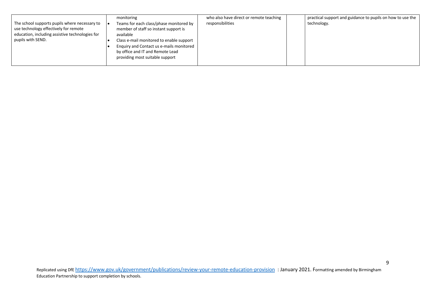|                                                                                                                                                                | monitoring                                                                                                                                                                                                                                                   | who also have direct or remote teaching | practical support and guidance to pupils on how to use the |
|----------------------------------------------------------------------------------------------------------------------------------------------------------------|--------------------------------------------------------------------------------------------------------------------------------------------------------------------------------------------------------------------------------------------------------------|-----------------------------------------|------------------------------------------------------------|
| The school supports pupils where necessary to<br>use technology effectively for remote<br>education, including assistive technologies for<br>pupils with SEND. | Teams for each class/phase monitored by<br>member of staff so instant support is<br>available<br>Class e-mail monitored to enable support<br>Enquiry and Contact us e-mails monitored<br>by office and IT and Remote Lead<br>providing most suitable support | responsibilities                        | technology.                                                |
|                                                                                                                                                                |                                                                                                                                                                                                                                                              |                                         |                                                            |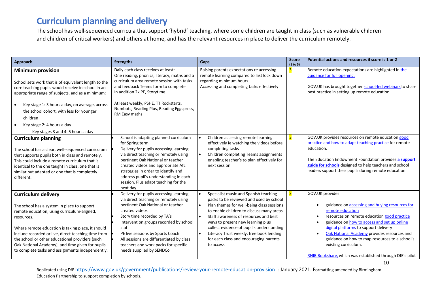## **Curriculum planning and delivery**

The school has well-sequenced curricula that support 'hybrid' teaching, where some children are taught in class (such as vulnerable children and children of critical workers) and others at home, and has the relevant resources in place to deliver the curriculum remotely.

| Approach                                                                                                                                                                                                                                                                                                                                                                                                      | <b>Strengths</b>                                                                                                                                                                                                                                                                                                                                                             | Gaps                                                                                                                                                                                                                                                                                                                                                                                                                                           | <b>Score</b><br>(1 to 5) | Potential actions and resources if score is 1 or 2                                                                                                                                                                                                                                                                                                                                                                                            |
|---------------------------------------------------------------------------------------------------------------------------------------------------------------------------------------------------------------------------------------------------------------------------------------------------------------------------------------------------------------------------------------------------------------|------------------------------------------------------------------------------------------------------------------------------------------------------------------------------------------------------------------------------------------------------------------------------------------------------------------------------------------------------------------------------|------------------------------------------------------------------------------------------------------------------------------------------------------------------------------------------------------------------------------------------------------------------------------------------------------------------------------------------------------------------------------------------------------------------------------------------------|--------------------------|-----------------------------------------------------------------------------------------------------------------------------------------------------------------------------------------------------------------------------------------------------------------------------------------------------------------------------------------------------------------------------------------------------------------------------------------------|
| <b>Minimum provision</b><br>School sets work that is of equivalent length to the<br>core teaching pupils would receive in school in an<br>appropriate range of subjects, and as a minimum:<br>Key stage 1: 3 hours a day, on average, across<br>$\bullet$<br>the school cohort, with less for younger<br>children<br>Key stage 2: 4 hours a day<br>$\bullet$<br>Key stages 3 and 4: 5 hours a day             | Daily each class receives at least:<br>One reading, phonics, literacy, maths and a<br>curriculum area remote session with tasks<br>and feedback Teams form to complete<br>In addition 2x PE, Storytime<br>At least weekly, PSHE, TT Rockstarts,<br>Numbots, Reading Plus, Reading Eggspress,<br>RM Easy maths                                                                | Raising parents expectations re accessing<br>remote learning compared to last lock down<br>regarding minimum hours<br>Accessing and completing tasks effectively                                                                                                                                                                                                                                                                               | 3                        | Remote education expectations are highlighted in the<br>guidance for full opening.<br>GOV.UK has brought together school-led webinars to share<br>best practice in setting up remote education.                                                                                                                                                                                                                                               |
| <b>Curriculum planning</b><br>The school has a clear, well-sequenced curriculum<br>that supports pupils both in class and remotely.<br>This could include a remote curriculum that is<br>identical to the one taught in class, one that is<br>similar but adapted or one that is completely<br>different.                                                                                                     | School is adapting planned curriculum<br>for Spring term<br>Delivery for pupils accessing learning<br>via direct teaching or remotely using<br>pertinent Oak National or teacher<br>created videos and appropriate AfL<br>strategies in order to identify and<br>address pupil's understanding in each<br>session. Plus adapt teaching for the<br>next day.                  | Children accessing remote learning<br>effectively ie watching the videos before<br>completing tasks<br>Children completing Teams assignments<br>enabling teacher's to plan effectively for<br>next session                                                                                                                                                                                                                                     | 3                        | GOV.UK provides resources on remote education good<br>practice and how to adapt teaching practice for remote<br>education.<br>The Education Endowment Foundation provides a support<br>guide for schools designed to help teachers and school<br>leaders support their pupils during remote education.                                                                                                                                        |
| <b>Curriculum delivery</b><br>The school has a system in place to support<br>remote education, using curriculum-aligned,<br>resources.<br>Where remote education is taking place, it should<br>include recorded or live, direct teaching time from<br>the school or other educational providers (such<br>Oak National Academy), and time given for pupils<br>to complete tasks and assignments independently. | Delivery for pupils accessing learning<br>via direct teaching or remotely using<br>pertinent Oak National or teacher<br>created videos<br>Story time recorded by TA's<br>Intervention groups recorded by school<br>staff<br>PE live sessions by Sports Coach<br>All sessions are differentiated by class<br>teachers and work packs for specific<br>needs supplied by SENDCo | Specialist music and Spanish teaching<br>packs to be reviewed and used by school<br>Plan themes for well-being class sessions<br>$\bullet$<br>to enable children to discuss many areas<br>Staff awareness of resources and best<br>$\bullet$<br>ways to present new learning plus<br>collect evidence of pupil's understanding<br>Literacy Trust weekly, free book lending<br>$\bullet$<br>for each class and encouraging parents<br>to access |                          | GOV.UK provides:<br>guidance on accessing and buying resources for<br>remote education<br>resources on remote education good practice<br>$\bullet$<br>guidance on how to access and set up online<br>digital platforms to support delivery<br>Oak National Academy provides resources and<br>$\bullet$<br>guidance on how to map resources to a school's<br>existing curriculum.<br>RNIB Bookshare, which was established through DfE's pilot |

10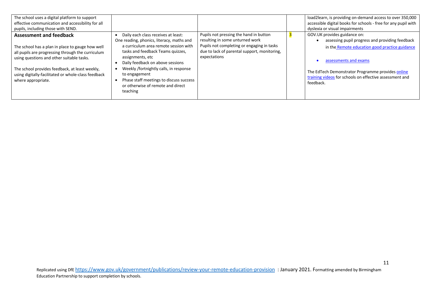| The school uses a digital platform to support<br>effective communication and accessibility for all<br>pupils, including those with SEND.                                                                                                                                                                            |                                                                                                                                                                                                                                                                                                                                                                               |                                                                                                                                                                                         | load2learn, is providing on-demand access to over 350,000<br>accessible digital books for schools - free for any pupil with<br>dyslexia or visual impairments                                                                                                                           |
|---------------------------------------------------------------------------------------------------------------------------------------------------------------------------------------------------------------------------------------------------------------------------------------------------------------------|-------------------------------------------------------------------------------------------------------------------------------------------------------------------------------------------------------------------------------------------------------------------------------------------------------------------------------------------------------------------------------|-----------------------------------------------------------------------------------------------------------------------------------------------------------------------------------------|-----------------------------------------------------------------------------------------------------------------------------------------------------------------------------------------------------------------------------------------------------------------------------------------|
| <b>Assessment and feedback</b><br>The school has a plan in place to gauge how well<br>all pupils are progressing through the curriculum<br>using questions and other suitable tasks.<br>The school provides feedback, at least weekly,<br>using digitally-facilitated or whole-class feedback<br>where appropriate. | Daily each class receives at least:<br>One reading, phonics, literacy, maths and<br>a curriculum area remote session with<br>tasks and feedback Teams quizzes,<br>assignments, etc<br>Daily feedback on above sessions<br>Weekly /fortnightly calls, in response<br>to engagement<br>Phase staff meetings to discuss success<br>or otherwise of remote and direct<br>teaching | Pupils not pressing the hand in button<br>resulting in some unturned work<br>Pupils not completing or engaging in tasks<br>due to lack of parental support, monitoring,<br>expectations | GOV.UK provides guidance on:<br>assessing pupil progress and providing feedback<br>in the Remote education good practice guidance<br>assessments and exams<br>The EdTech Demonstrator Programme provides online<br>training videos for schools on effective assessment and<br>feedback. |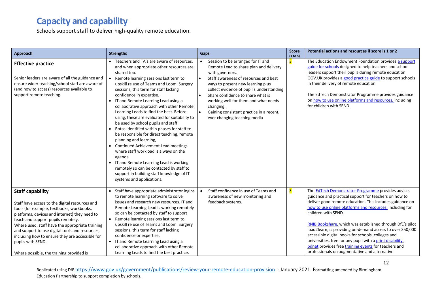## **Capacity and capability**

Schools support staff to deliver high-quality remote education.

| Approach                                                                                                                                                                                                                                                                                                                                                                                                                                | <b>Strengths</b>                                                                                                                                                                                                                                                                                                                                                                                                                                                                                                                                                                                                                                                                                                                                                                                                                                                                   | <b>Gaps</b>                                                                                                                                                                                                                                                                                                                                                                                                  | <b>Score</b><br>(1 to 5) | Potential actions and resources if score is 1 or 2                                                                                                                                                                                                                                                                                                                                                                                                                                                                                                                                                                      |
|-----------------------------------------------------------------------------------------------------------------------------------------------------------------------------------------------------------------------------------------------------------------------------------------------------------------------------------------------------------------------------------------------------------------------------------------|------------------------------------------------------------------------------------------------------------------------------------------------------------------------------------------------------------------------------------------------------------------------------------------------------------------------------------------------------------------------------------------------------------------------------------------------------------------------------------------------------------------------------------------------------------------------------------------------------------------------------------------------------------------------------------------------------------------------------------------------------------------------------------------------------------------------------------------------------------------------------------|--------------------------------------------------------------------------------------------------------------------------------------------------------------------------------------------------------------------------------------------------------------------------------------------------------------------------------------------------------------------------------------------------------------|--------------------------|-------------------------------------------------------------------------------------------------------------------------------------------------------------------------------------------------------------------------------------------------------------------------------------------------------------------------------------------------------------------------------------------------------------------------------------------------------------------------------------------------------------------------------------------------------------------------------------------------------------------------|
| <b>Effective practice</b><br>Senior leaders are aware of all the guidance and<br>ensure wider teaching/school staff are aware of<br>(and how to access) resources available to<br>support remote teaching.                                                                                                                                                                                                                              | • Teachers and TA's are aware of resources,<br>and when appropriate other resources are<br>shared too.<br>• Remote learning sessions last term to<br>upskill re use of Teams and Loom. Surgery<br>sessions, this term for staff lacking<br>confidence in expertise.<br>• IT and Remote Learning Lead using a<br>collaborative approach with other Remote<br>Learning Leads to find the best. Before<br>using, these are evaluated for suitability to<br>be used by school pupils and staff.<br>• Rotas identified within phases for staff to<br>be responsible for direct teaching, remote<br>planning and learning,<br>• Continued Achievement Lead meetings<br>where staff workload is always on the<br>agenda<br>• IT and Remote Learning Lead is working<br>remotely so can be contacted by staff to<br>support in building staff knowledge of IT<br>systems and applications. | Session to be arranged for IT and<br>$\bullet$<br>Remote Lead to share plan and delivery<br>with governors.<br>Staff awareness of resources and best<br>ways to present new learning plus<br>collect evidence of pupil's understanding<br>Share confidence to share what is<br>working well for them and what needs<br>changing.<br>Gaining consistent practice in a recent,<br>ever changing teaching media | 3                        | The Education Endowment Foundation provides a support<br>guide for schools designed to help teachers and school<br>leaders support their pupils during remote education.<br>GOV.UK provides a good practice guide to support schools<br>in their delivery of remote education.<br>The EdTech Demonstrator Programme provides guidance<br>on how to use online platforms and resources, including<br>for children with SEND.                                                                                                                                                                                             |
| <b>Staff capability</b><br>Staff have access to the digital resources and<br>tools (for example, textbooks, workbooks,<br>platforms, devices and internet) they need to<br>teach and support pupils remotely.<br>Where used, staff have the appropriate training<br>and support to use digital tools and resources,<br>including how to ensure they are accessible for<br>pupils with SEND.<br>Where possible, the training provided is | • Staff have appropriate administrator logins<br>to remote learning software to solve<br>issues and research new resources. IT and<br>Remote Learning Lead is working remotely<br>so can be contacted by staff to support<br>• Remote learning sessions last term to<br>upskill re use of Teams and Loom. Surgery<br>sessions, this term for staff lacking<br>confidence or expertise.<br>• IT and Remote Learning Lead using a<br>collaborative approach with other Remote<br>Learning Leads to find the best practice.                                                                                                                                                                                                                                                                                                                                                           | Staff confidence in use of Teams and<br>awareness of new monitoring and<br>feedback systems.                                                                                                                                                                                                                                                                                                                 | 3                        | The <b>EdTech Demonstrator Programme</b> provides advice,<br>guidance and practical support for teachers on how to<br>deliver good remote education. This includes guidance on<br>how to use online platforms and resources, including for<br>children with SEND.<br>RNIB Bookshare, which was established through DfE's pilot<br>load2learn, is providing on-demand access to over 350,000<br>accessible digital books for schools, colleges and<br>universities, free for any pupil with a print disability.<br>pdnet provides free training events for teachers and<br>professionals on augmentative and alternative |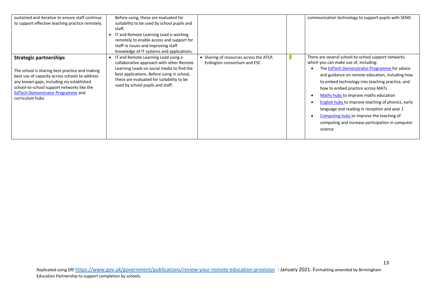| sustained and iterative to ensure staff continue<br>to support effective teaching practice remotely.                                                                                                                                                                                         | Before using, these are evaluated for<br>suitability to be used by school pupils and<br>staff.<br>IT and Remote Learning Lead is working<br>remotely to enable access and support for<br>staff re issues and improving staff<br>knowledge of IT systems and applications. |                                                                                                    | communication technology to support pupils with SEND.                                                                                                                                                                                                                                                                                                                                                                                                                                                                                              |
|----------------------------------------------------------------------------------------------------------------------------------------------------------------------------------------------------------------------------------------------------------------------------------------------|---------------------------------------------------------------------------------------------------------------------------------------------------------------------------------------------------------------------------------------------------------------------------|----------------------------------------------------------------------------------------------------|----------------------------------------------------------------------------------------------------------------------------------------------------------------------------------------------------------------------------------------------------------------------------------------------------------------------------------------------------------------------------------------------------------------------------------------------------------------------------------------------------------------------------------------------------|
| <b>Strategic partnerships</b><br>The school is sharing best practice and making<br>best use of capacity across schools to address<br>any known gaps, including via established<br>school-to-school support networks like the<br><b>EdTech Demonstrator Programme and</b><br>curriculum hubs. | • IT and Remote Learning Lead using a<br>collaborative approach with other Remote<br>Learning Leads on social media to find the<br>best applications. Before using in school,<br>these are evaluated for suitability to be<br>used by school pupils and staff.            | • Sharing of resources across the ATLP,<br>$\overline{\mathbf{2}}$<br>Erdington consortium and ESC | There are several school-to-school support networks<br>which you can make use of, including:<br>The EdTech Demonstrator Programme for advice<br>and guidance on remote education, including how<br>to embed technology into teaching practice, and<br>how to embed practice across MATs<br>Maths hubs to improve maths education<br>English hubs to improve teaching of phonics, early<br>language and reading in reception and year 1<br>Computing hubs to improve the teaching of<br>computing and increase participation in computer<br>science |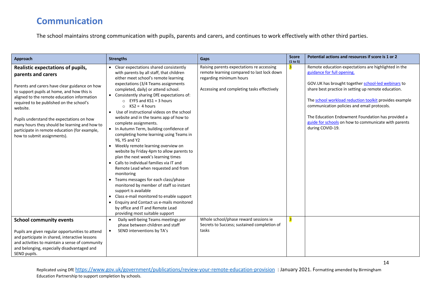## **Communication**

The school maintains strong communication with pupils, parents and carers, and continues to work effectively with other third parties.

| Approach                                                                                                                                                                                                                                                                                                                                                                                                                                    | <b>Strengths</b>                                                                                                                                                                                                                                                                                                                                                                                                                                                                                                                                                                                                                                                                                                                                                                                                                                                                                                                                                                                                                                          | Gaps                                                                                                                                                             | <b>Score</b><br>(1 to 5) | Potential actions and resources if score is 1 or 2                                                                                                                                                                                                                                                                                                                                                                                        |
|---------------------------------------------------------------------------------------------------------------------------------------------------------------------------------------------------------------------------------------------------------------------------------------------------------------------------------------------------------------------------------------------------------------------------------------------|-----------------------------------------------------------------------------------------------------------------------------------------------------------------------------------------------------------------------------------------------------------------------------------------------------------------------------------------------------------------------------------------------------------------------------------------------------------------------------------------------------------------------------------------------------------------------------------------------------------------------------------------------------------------------------------------------------------------------------------------------------------------------------------------------------------------------------------------------------------------------------------------------------------------------------------------------------------------------------------------------------------------------------------------------------------|------------------------------------------------------------------------------------------------------------------------------------------------------------------|--------------------------|-------------------------------------------------------------------------------------------------------------------------------------------------------------------------------------------------------------------------------------------------------------------------------------------------------------------------------------------------------------------------------------------------------------------------------------------|
| Realistic expectations of pupils,<br>parents and carers<br>Parents and carers have clear guidance on how<br>to support pupils at home, and how this is<br>aligned to the remote education information<br>required to be published on the school's<br>website.<br>Pupils understand the expectations on how<br>many hours they should be learning and how to<br>participate in remote education (for example,<br>how to submit assignments). | • Clear expectations shared consistently<br>with parents by all staff, that children<br>either meet school's remote learning<br>expectations (3/4 Teams assignments<br>completed, daily) or attend school.<br>• Consistently sharing DfE expectations of:<br>$\circ$ EYFS and KS1 = 3 hours<br>$\circ$ KS2 = 4 hours<br>Use of instructional videos on the school<br>website and in the teams app of how to<br>complete assignments.<br>• In Autumn Term, building confidence of<br>completing home learning using Teams in<br>Y6, Y5 and Y2<br>• Weekly remote learning overview on<br>website by Friday 4pm to allow parents to<br>plan the next week's learning times<br>• Calls to individual families via IT and<br>Remote Lead when requested and from<br>monitoring<br>• Teams messages for each class/phase<br>monitored by member of staff so instant<br>support is available<br>• Class e-mail monitored to enable support<br>• Enquiry and Contact us e-mails monitored<br>by office and IT and Remote Lead<br>providing most suitable support | Raising parents expectations re accessing<br>remote learning compared to last lock down<br>regarding minimum hours<br>Accessing and completing tasks effectively | 3                        | Remote education expectations are highlighted in the<br>guidance for full opening.<br>GOV.UK has brought together school-led webinars to<br>share best practice in setting up remote education.<br>The school workload reduction toolkit provides example<br>communication policies and email protocols.<br>The Education Endowment Foundation has provided a<br>guide for schools on how to communicate with parents<br>during COVID-19. |
| <b>School community events</b><br>Pupils are given regular opportunities to attend<br>and participate in shared, interactive lessons<br>and activities to maintain a sense of community<br>and belonging, especially disadvantaged and<br>SEND pupils.                                                                                                                                                                                      | Daily well-being Teams meetings per<br>$\bullet$<br>phase between children and staff<br>SEND interventions by TA's<br>$\bullet$                                                                                                                                                                                                                                                                                                                                                                                                                                                                                                                                                                                                                                                                                                                                                                                                                                                                                                                           | Whole school/phase reward sessions ie<br>Secrets to Success; sustained completion of<br>tasks                                                                    | 3                        |                                                                                                                                                                                                                                                                                                                                                                                                                                           |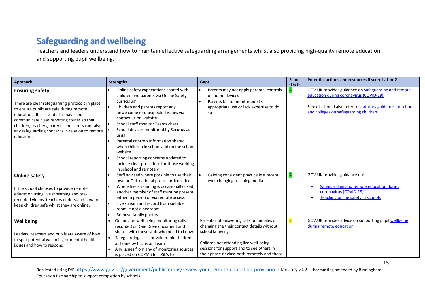# **Safeguarding and wellbeing**

Teachers and leaders understand how to maintain effective safeguarding arrangements whilst also providing high-quality remote education and supporting pupil wellbeing.

| Approach                                                                                                                                                                                                                                                                                                                          | <b>Strengths</b>                                                                                                                                                                                                                                                                                                                                                                                                                                                                                       | Gaps                                                                                                                                                                                                                                              | <b>Score</b><br>(1 to 5) | Potential actions and resources if score is 1 or 2                                                                                                                                                             |
|-----------------------------------------------------------------------------------------------------------------------------------------------------------------------------------------------------------------------------------------------------------------------------------------------------------------------------------|--------------------------------------------------------------------------------------------------------------------------------------------------------------------------------------------------------------------------------------------------------------------------------------------------------------------------------------------------------------------------------------------------------------------------------------------------------------------------------------------------------|---------------------------------------------------------------------------------------------------------------------------------------------------------------------------------------------------------------------------------------------------|--------------------------|----------------------------------------------------------------------------------------------------------------------------------------------------------------------------------------------------------------|
| <b>Ensuring safety</b><br>There are clear safeguarding protocols in place<br>to ensure pupils are safe during remote<br>education. It is essential to have and<br>communicate clear reporting routes so that<br>children, teachers, parents and carers can raise<br>any safeguarding concerns in relation to remote<br>education. | Online safety expectations shared with<br>children and parents via Online Safety<br>curriculum<br>Children and parents report any<br>unwelcome or unexpected issues via<br>contact us on website<br>School staff monitor Teams chats<br>School devices monitored by Securus as<br>usual<br>Parental controls information shared<br>when children in school and on the school<br>website<br>School reporting concerns updated to<br>include clear procedure for those working<br>in school and remotely | Parents may not apply parental controls<br>on home devices<br>Parents fail to monitor pupil's<br>ا •<br>appropriate use or lack expertise to do<br><b>SO</b>                                                                                      |                          | GOV.UK provides guidance on <b>Safeguarding and remote</b><br>education during coronavirus (COVID-19)<br>Schools should also refer to statutory guidance for schools<br>and colleges on safeguarding children. |
| <b>Online safety</b><br>If the school chooses to provide remote<br>education using live streaming and pre-<br>recorded videos, teachers understand how to<br>keep children safe whilst they are online.                                                                                                                           | Staff advised where possible to use their<br>own or Oak national pre-recorded videos<br>Where live streaming is occasionally used,<br>another member of staff must be present<br>either in person or via remote access<br>Live stream and record from suitable<br>room je not a bedroom<br>Remove family photos                                                                                                                                                                                        | Gaining consistent practice in a recent,<br>ever changing teaching media                                                                                                                                                                          |                          | GOV.UK provides guidance on:<br>Safeguarding and remote education during<br>coronavirus (COVID-19)<br>Teaching online safety in schools                                                                        |
| Wellbeing<br>Leaders, teachers and pupils are aware of how<br>to spot potential wellbeing or mental health<br>issues and how to respond.                                                                                                                                                                                          | Online and well-being monitoring calls<br>recorded on One Drive document and<br>shared with those staff who need to know<br>Safeguarding calls for vulnerable children<br>$\bullet$<br>at home by Inclusion Team<br>Any issues from any of monitoring sources<br>is placed on COPMS for DSL's to                                                                                                                                                                                                       | Parents not answering calls on mobiles or<br>changing the their contact details without<br>school knowing.<br>Children not attending live well-being<br>sessions for support and to see others in<br>their phase or class both remotely and those | 3                        | GOV.UK provides advice on supporting pupil wellbeing<br>during remote education.                                                                                                                               |